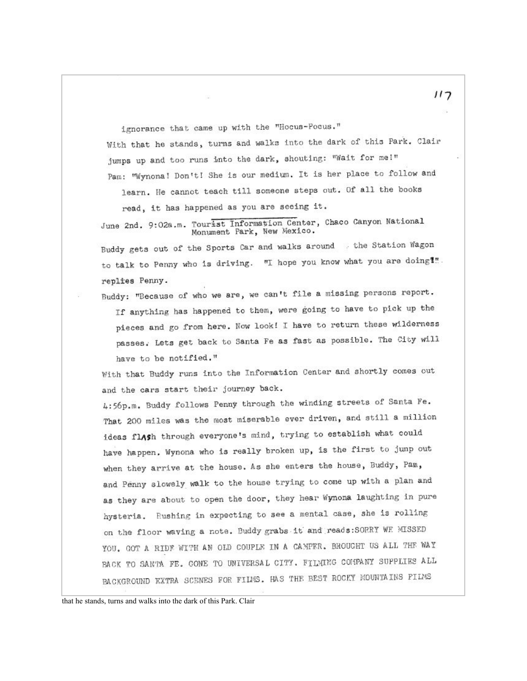ignorance that came up with the "Hocus-Pocus." With that he stands, turns and walks into the dark of this Park. Clair jumps up and too runs into the dark, shouting: "Wait for me!" Pam: "Wynona! Don't! She is our medium. It is her place to follow and

learn. He cannot teach till someone steps out. Of all the books read, it has happened as you are seeing it.

June 2nd. 9:02a.m. Tourist Information Center, Chaco Canyon National Monument Park, New Mexico.

Buddy gets out of the Sports Car and walks around . the Station Wagon to talk to Penny who is driving. "I hope you know what you are doing!". replies Penny.

Buddy: "Because of who we are, we can't file a missing persons report. If anything has happened to them, were going to have to pick up the pieces and go from here. Now look! I have to return these wilderness passes. Lets get back to Santa Fe as fast as possible. The City will have to be notified."

With that Buddy runs into the Information Center and shortly comes out and the cars start their journey back.

4:56p.m. Buddy follows Penny through the winding streets of Santa Fe. That 200 miles was the most miserable ever driven, and still a million ideas flAsh through everyone's mind, trying to establish what could have happen, Wynona who is really broken up, is the first to jump out when they arrive at the house. As she enters the house, Buddy, Pam, and Penny slowely walk to the house trying to come up with a plan and as they are about to open the door, they hear Wynona laughting in pure hysteria. Rushing in expecting to see a mental case, she is rolling on the floor waving a note. Buddy grabs it and reads: SORRY WE MISSED YOU. GOT A RIDE WITH AN OLD COUPLE IN A CAMPER. BROUGHT US ALL THE WAY BACK TO SANTA FE. CONE TO UNIVERSAL CITY. FILMING COMPANY SUPPLIES ALL BACKGROUND KXTRA SCENES FOR FILMS. HAS THE BEST ROCKY MOUNTAINS PILMS

 $117$